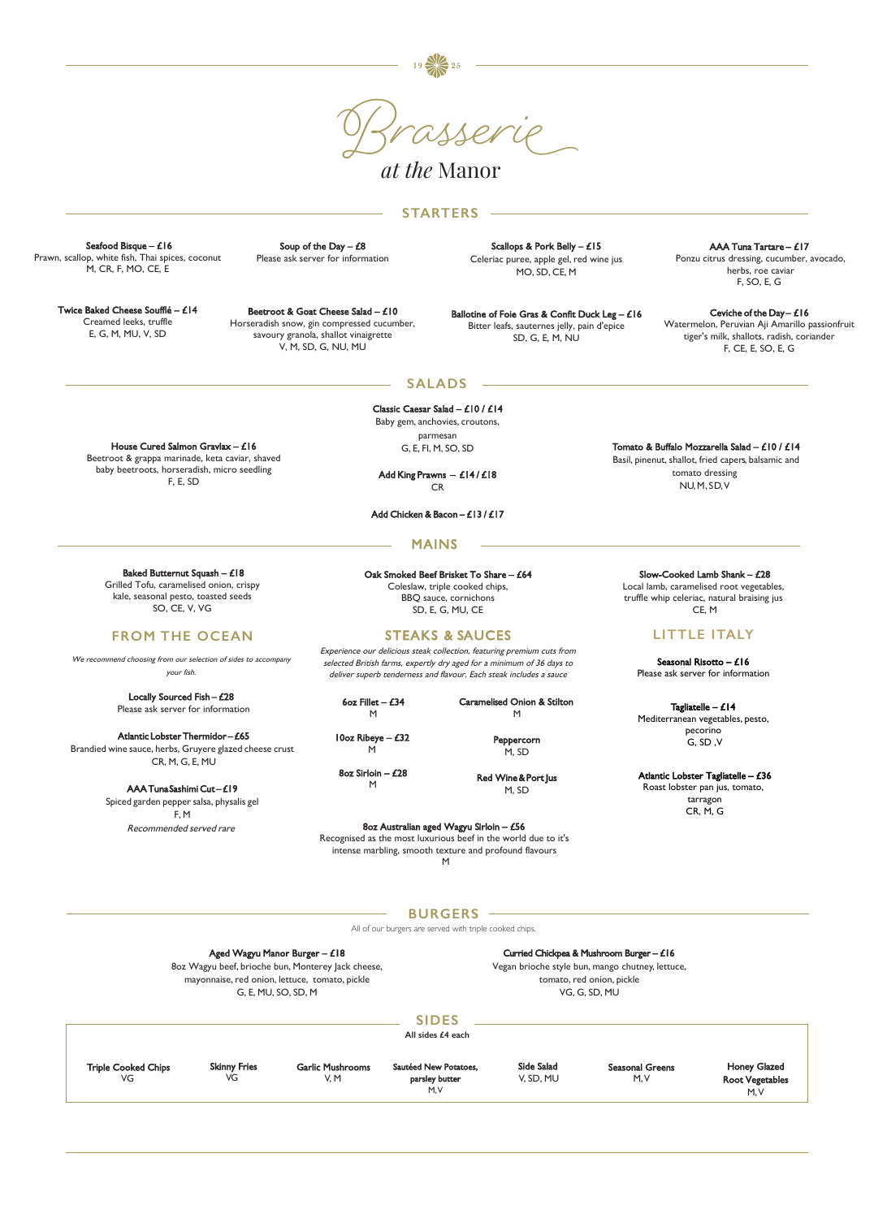Soup of the Day  $-$  £8 Please ask server for information

> Classic Caesar Salad – £10 / £14 Baby gem, anchovies, croutons, parmesan G, E, FI, M, SO, SD

Add King Prawns – £14 / £18 CR

Add Chicken & Bacon – £13 / £17

Tomato & Buffalo Mozzarella Salad – £10 / £14 Basil, pinenut, shallot, fried capers, balsamic and tomato dressing NU, M, SD, V



*at the* Manor

#### Aged Wagyu Manor Burger – £18

8oz Wagyu beef, brioche bun, Monterey Jack cheese, mayonnaise, red onion, lettuce, tomato, pickle G, E, MU, SO, SD, M

Ballotine of Foie Gras & Confit Duck Leg - £16 Bitter leafs, sauternes jelly, pain d'epice SD, G, E, M, NU

#### Curried Chickpea & Mushroom Burger – £16

Vegan brioche style bun, mango chutney, lettuce, tomato, red onion, pickle VG, G, SD, MU

Scallops & Pork Belly – £15 Celeriac puree, apple gel, red wine jus MO, SD, CE, M

### **STARTERS**

**SALADS**

Locally Sourced Fish - £28 Please ask server for information

|                                  |                           |                                 | <b>SIDES</b><br>All sides £4 each               |                         |                                |                                                       |
|----------------------------------|---------------------------|---------------------------------|-------------------------------------------------|-------------------------|--------------------------------|-------------------------------------------------------|
| <b>Triple Cooked Chips</b><br>VG | <b>Skinny Fries</b><br>VG | <b>Garlic Mushrooms</b><br>V, M | Sautéed New Potatoes.<br>parsley butter<br>M, V | Side Salad<br>V. SD. MU | <b>Seasonal Greens</b><br>M, V | <b>Honey Glazed</b><br><b>Root Vegetables</b><br>M, V |

Beetroot & Goat Cheese Salad – £10 Horseradish snow, gin compressed cucumber, savoury granola, shallot vinaigrette V, M, SD, G, NU, MU

Seafood Bisque – £16 Prawn, scallop, white fish, Thai spices, coconut M, CR, F, MO, CE, E

> Tagliatelle –  $£14$ Mediterranean vegetables, pesto, pecorino G, SD ,V

Twice Baked Cheese Soufflé – £14 Creamed leeks, truffle E, G, M, MU, V, SD

> 6oz Fillet –  $£34$ M

House Cured Salmon Gravlax – £16 Beetroot & grappa marinade, keta caviar, shaved baby beetroots, horseradish, micro seedling F, E, SD

## MAINS

Oak Smoked Beef Brisket To Share – £64 Coleslaw, triple cooked chips, BBQ sauce, cornichons SD, E, G, MU, CE

Ceviche of the Day -  $£16$ Watermelon, Peruvian Aji Amarillo passionfruit tiger's milk, shallots, radish, coriander F, CE, E, SO, E, G

## STEAKS & SAUCES

Experience our delicious steak collection, featuring premium cuts from selected British farms, expertly dry aged for a minimum of 36 days to deliver superb tenderness and flavour. Each steak includes a sauce

Baked Butternut Squash – £18 Grilled Tofu, caramelised onion, crispy kale, seasonal pesto, toasted seeds SO, CE, V, VG

## **FROM THE OCEAN**

We recommend choosing from our selection of sides to accompany your fish.

Atlantic Lobster Thermidor – £65 Brandied wine sauce, herbs, Gruyere glazed cheese crust CR, M, G, E, MU

> AAA Tuna Sashimi Cut – £19 Spiced garden pepper salsa, physalis gel F, M Recommended served rare

Slow-Cooked Lamb Shank – £28 Local lamb, caramelised root vegetables,

truffle whip celeriac, natural braising jus CE, M

# **LITTLE ITALY**

Seasonal Risotto – £16 Please ask server for information

Atlantic Lobster Tagliatelle – £36 Roast lobster pan jus, tomato, tarragon CR, M, G

10oz Ribeye – £32 M

8oz Sirloin – £28 M

Caramelised Onion & Stilton M

> Peppercorn M, SD

Red Wine & Port Jus M, SD

### 8oz Australian aged Wagyu Sirloin – £56

Recognised as the most luxurious beef in the world due to it's intense marbling, smooth texture and profound flavours

### **BURGERS**

All of our burgers are served with triple cooked chips.

AAA Tuna Tartare – £17 Ponzu citrus dressing, cucumber, avocado, herbs, roe caviar F, SO, E, G